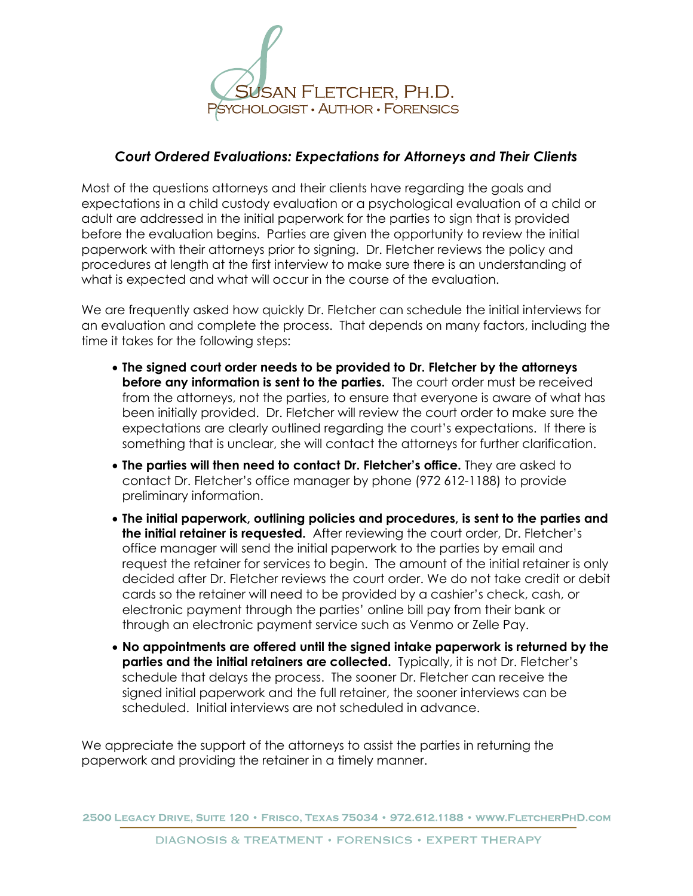

## *Court Ordered Evaluations: Expectations for Attorneys and Their Clients*

Most of the questions attorneys and their clients have regarding the goals and expectations in a child custody evaluation or a psychological evaluation of a child or adult are addressed in the initial paperwork for the parties to sign that is provided before the evaluation begins. Parties are given the opportunity to review the initial paperwork with their attorneys prior to signing. Dr. Fletcher reviews the policy and procedures at length at the first interview to make sure there is an understanding of what is expected and what will occur in the course of the evaluation.

We are frequently asked how quickly Dr. Fletcher can schedule the initial interviews for an evaluation and complete the process. That depends on many factors, including the time it takes for the following steps:

- **The signed court order needs to be provided to Dr. Fletcher by the attorneys before any information is sent to the parties.** The court order must be received from the attorneys, not the parties, to ensure that everyone is aware of what has been initially provided. Dr. Fletcher will review the court order to make sure the expectations are clearly outlined regarding the court's expectations. If there is something that is unclear, she will contact the attorneys for further clarification.
- **The parties will then need to contact Dr. Fletcher's office.** They are asked to contact Dr. Fletcher's office manager by phone (972 612-1188) to provide preliminary information.
- **The initial paperwork, outlining policies and procedures, is sent to the parties and the initial retainer is requested.** After reviewing the court order, Dr. Fletcher's office manager will send the initial paperwork to the parties by email and request the retainer for services to begin. The amount of the initial retainer is only decided after Dr. Fletcher reviews the court order. We do not take credit or debit cards so the retainer will need to be provided by a cashier's check, cash, or electronic payment through the parties' online bill pay from their bank or through an electronic payment service such as Venmo or Zelle Pay.
- **No appointments are offered until the signed intake paperwork is returned by the parties and the initial retainers are collected.** Typically, it is not Dr. Fletcher's schedule that delays the process. The sooner Dr. Fletcher can receive the signed initial paperwork and the full retainer, the sooner interviews can be scheduled. Initial interviews are not scheduled in advance.

We appreciate the support of the attorneys to assist the parties in returning the paperwork and providing the retainer in a timely manner.